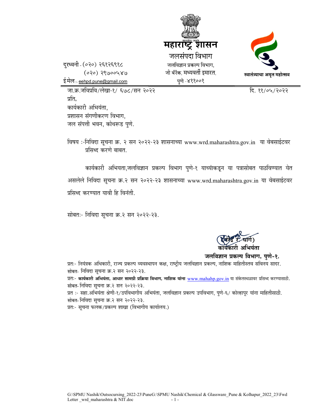



दरध्वनी (०२०) २६१२६९१८  $(020) 29000480$ ई.मेल :- <u>eehpd.pune@gmail.com</u>

जा.क्र.जविप्रवि/लेखा-१/ ६७८/सन २०२२ <u>कार्यकार स्थानकार</u> स्थानकारी दि. ११/०५/२०२२ प्रति. कार्यकारी अभियंता. प्रशासन संगणीकरण विभाग. जल संपत्ती भवन, कोथरूड पुणे.

विषय :-निविदा सूचना क्र. २ सन २०२२-२३ शासनाच्या www.wrd.maharashtra.gov.in या वेबसाईटवर प्रसिध्द करणे बाबत.

कार्यकारी अभियता,जलविज्ञान प्रकल्प विभाग पुणे-१ याच्यांकडून या पत्रासोबत पाठविण्यात येत असलेले निविदा सूचना क्र.२ सन २०२२-२३ शासनाच्या www.wrd.maharashtra.gov.in या वेबसाईटवर प्रसिध्द करण्यात यावी हि विनंती.

सोबतः- निविदा सूचना क्र.२ सन २०२२-२३.

 (xÉ®åúpù ®ú. PÉÉMÉæ ÷) कार्यकारी अभियंता

जलविज्ञान प्रकल्प विभाग, पुणे-१.

प्रतः- नियंत्रक अधिकारी, राज्य प्रकल्प व्यवस्थापन कक्ष, राष्ट्रीय जलविज्ञान प्रकल्प, नाशिक माहितीस्तव सविनय सादर. सोबत- निविदा सूचना क्र.२ सन २०२२-२३.

प्रतः- कार्यकारी अभियंता, आधार सामग्री प्रक्रिया विभाग, नाशिक यांना www.mahahp.gov.in या संकेतस्थळावर प्रसिध्द करण्यासाठी. सोबत- निविदा सूचना क्र.२ सन २०२२-२३.

प्रत :- सहा.अभियंता श्रेणी-१/उपविभागीय अभियंता, जलविज्ञान प्रकल्प उपविभाग, पुणे-६/ कोल्हापुर यांना माहितीसाठी. सोबत- निविदा सूचना क्र.२ सन २०२२-२३.

प्रतः- सूचना फलक/प्रकल्प शाखा (विभागीय कार्यालय.)